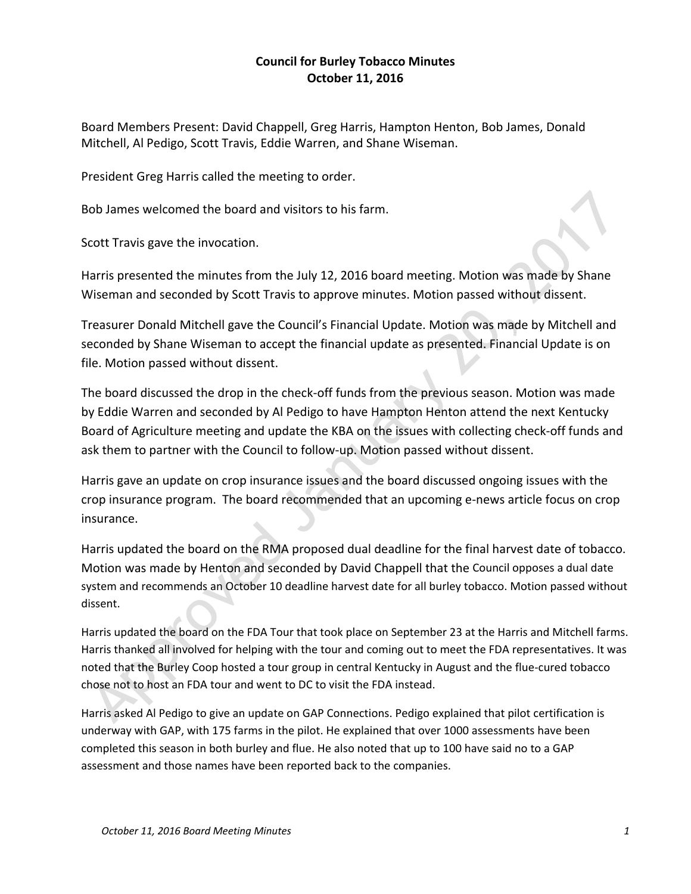## **Council for Burley Tobacco Minutes October 11, 2016**

Board Members Present: David Chappell, Greg Harris, Hampton Henton, Bob James, Donald Mitchell, Al Pedigo, Scott Travis, Eddie Warren, and Shane Wiseman.

President Greg Harris called the meeting to order.

Bob James welcomed the board and visitors to his farm.

Scott Travis gave the invocation.

Harris presented the minutes from the July 12, 2016 board meeting. Motion was made by Shane Wiseman and seconded by Scott Travis to approve minutes. Motion passed without dissent.

Treasurer Donald Mitchell gave the Council's Financial Update. Motion was made by Mitchell and seconded by Shane Wiseman to accept the financial update as presented. Financial Update is on file. Motion passed without dissent.

The board discussed the drop in the check-off funds from the previous season. Motion was made by Eddie Warren and seconded by Al Pedigo to have Hampton Henton attend the next Kentucky Board of Agriculture meeting and update the KBA on the issues with collecting check‐off funds and ask them to partner with the Council to follow‐up. Motion passed without dissent.

Harris gave an update on crop insurance issues and the board discussed ongoing issues with the crop insurance program. The board recommended that an upcoming e‐news article focus on crop insurance.

Harris updated the board on the RMA proposed dual deadline for the final harvest date of tobacco. Motion was made by Henton and seconded by David Chappell that the Council opposes a dual date system and recommends an October 10 deadline harvest date for all burley tobacco. Motion passed without dissent.

Harris updated the board on the FDA Tour that took place on September 23 at the Harris and Mitchell farms. Harris thanked all involved for helping with the tour and coming out to meet the FDA representatives. It was noted that the Burley Coop hosted a tour group in central Kentucky in August and the flue‐cured tobacco chose not to host an FDA tour and went to DC to visit the FDA instead.

Harris asked Al Pedigo to give an update on GAP Connections. Pedigo explained that pilot certification is underway with GAP, with 175 farms in the pilot. He explained that over 1000 assessments have been completed this season in both burley and flue. He also noted that up to 100 have said no to a GAP assessment and those names have been reported back to the companies.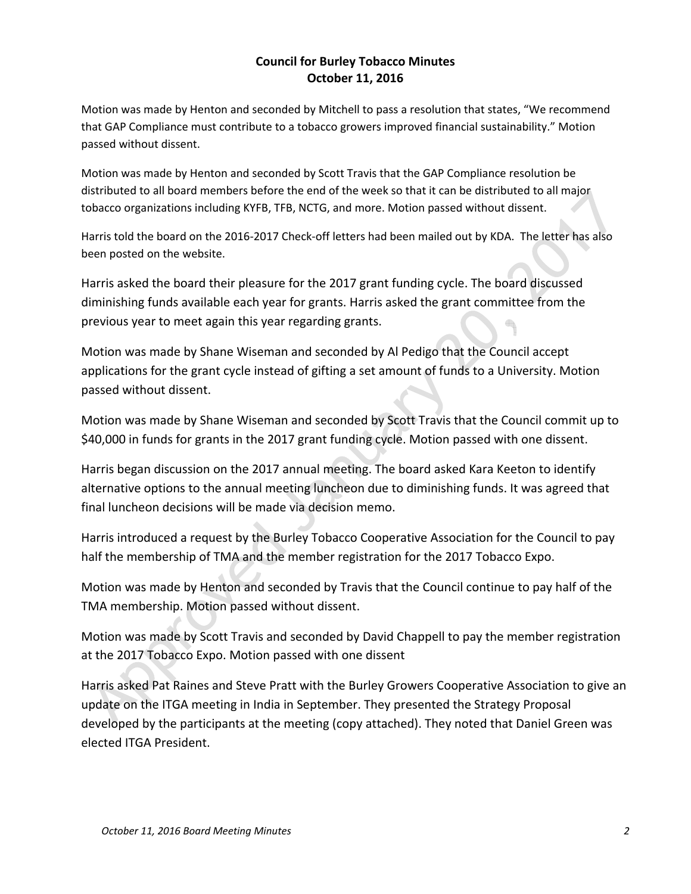## **Council for Burley Tobacco Minutes October 11, 2016**

Motion was made by Henton and seconded by Mitchell to pass a resolution that states, "We recommend that GAP Compliance must contribute to a tobacco growers improved financial sustainability." Motion passed without dissent.

Motion was made by Henton and seconded by Scott Travis that the GAP Compliance resolution be distributed to all board members before the end of the week so that it can be distributed to all major tobacco organizations including KYFB, TFB, NCTG, and more. Motion passed without dissent.

Harris told the board on the 2016-2017 Check-off letters had been mailed out by KDA. The letter has also been posted on the website.

Harris asked the board their pleasure for the 2017 grant funding cycle. The board discussed diminishing funds available each year for grants. Harris asked the grant committee from the previous year to meet again this year regarding grants.

Motion was made by Shane Wiseman and seconded by Al Pedigo that the Council accept applications for the grant cycle instead of gifting a set amount of funds to a University. Motion passed without dissent.

Motion was made by Shane Wiseman and seconded by Scott Travis that the Council commit up to \$40,000 in funds for grants in the 2017 grant funding cycle. Motion passed with one dissent.

Harris began discussion on the 2017 annual meeting. The board asked Kara Keeton to identify alternative options to the annual meeting luncheon due to diminishing funds. It was agreed that final luncheon decisions will be made via decision memo.

Harris introduced a request by the Burley Tobacco Cooperative Association for the Council to pay half the membership of TMA and the member registration for the 2017 Tobacco Expo.

Motion was made by Henton and seconded by Travis that the Council continue to pay half of the TMA membership. Motion passed without dissent.

Motion was made by Scott Travis and seconded by David Chappell to pay the member registration at the 2017 Tobacco Expo. Motion passed with one dissent

Harris asked Pat Raines and Steve Pratt with the Burley Growers Cooperative Association to give an update on the ITGA meeting in India in September. They presented the Strategy Proposal developed by the participants at the meeting (copy attached). They noted that Daniel Green was elected ITGA President.